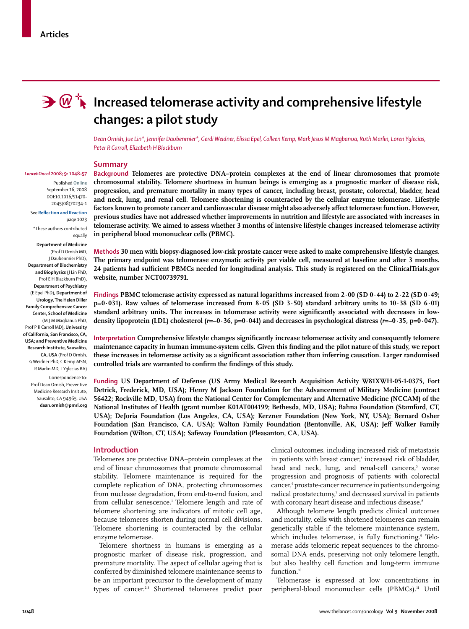

*Lancet Oncol* **2008; 9: 1048–57**

\*These authors contributed

**Department of Medicine**  (Prof D Ornish MD, J Daubenmier PhD), **Department of Biochemistry and Biophysics** (J Lin PhD, Prof E H Blackburn PhD)**, Department of Psychiatry**  (E Epel PhD)**, Department of Urology, The Helen Diller Family Comprehensive Cancer Center, School of Medicine**  (M J M Magbanua PhD, Prof P R Carroll MD)**, University of California, San Francisco, CA, USA; and Preventive Medicine Research Institute, Sausalito, CA, USA** (Prof D Ornish, G Weidner PhD, C Kemp MSN,

Published **Online** September 16, 2008 DOI:10.1016/S1470- 2045(08)70234-1 See **Reflection and Reaction**

page 1023

equally

# **IDER** increased telomerase activity and comprehensive lifestyle **changes: a pilot study**

*Dean Ornish, Jue Lin\*, Jennifer Daubenmier\*, Gerdi Weidner, Elissa Epel, Colleen Kemp, Mark Jesus M Magbanua, Ruth Marlin, Loren Yglecias, Peter R Carroll, Elizabeth H Blackburn*

#### **Summary**

**Background Telomeres are protective DNA–protein complexes at the end of linear chromosomes that promote chromosomal stability. Telomere shortness in human beings is emerging as a prognostic marker of disease risk, progression, and premature mortality in many types of cancer, including breast, prostate, colorectal, bladder, head and neck, lung, and renal cell. Telomere shortening is counteracted by the cellular enzyme telomerase. Lifestyle**  factors known to promote cancer and cardiovascular disease might also adversely affect telomerase function. However, **previous studies have not addressed whether improvements in nutrition and lifestyle are associated with increases in telomerase activity. We aimed to assess whether 3 months of intensive lifestyle changes increased telomerase activity in peripheral blood mononuclear cells (PBMC).**

**Methods 30 men with biopsy-diagnosed low-risk prostate cancer were asked to make comprehensive lifestyle changes. The primary endpoint was telomerase enzymatic activity per viable cell, measured at baseline and after 3 months.**  24 patients had sufficient PBMCs needed for longitudinal analysis. This study is registered on the ClinicalTrials.gov **website, number NCT00739791.** 

**Findings PBMC telomerase activity expressed as natural logarithms increased from 2·00 (SD 0·44) to 2·22 (SD 0·49; p=0·031). Raw values of telomerase increased from 8·05 (SD 3·50) standard arbitrary units to 10·38 (SD 6·01)**  standard arbitrary units. The increases in telomerase activity were significantly associated with decreases in low**density lipoprotein (LDL) cholesterol (***r***=–0·36, p=0·041) and decreases in psychological distress (***r***=–0·35, p=0·047).** 

Interpretation Comprehensive lifestyle changes significantly increase telomerase activity and consequently telomere **maintenance capacity in human immune-system cells. Given this finding and the pilot nature of this study, we report**  these increases in telomerase activity as a significant association rather than inferring causation. Larger randomised controlled trials are warranted to confirm the findings of this study.

**Funding US Department of Defense (US Army Medical Research Acquisition Activity W81XWH-05-1-0375, Fort Detrick, Frederick, MD, USA); Henry M Jackson Foundation for the Advancement of Military Medicine (contract 56422; Rockville MD, USA) from the National Center for Complementary and Alternative Medicine (NCCAM) of the National Institutes of Health (grant number K01AT004199; Bethesda, MD, USA); Bahna Foundation (Stamford, CT, USA); DeJoria Foundation (Los Angeles, CA, USA); Kerzner Foundation (New York, NY, USA); Bernard Osher Foundation (San Francisco, CA, USA); Walton Family Foundation (Bentonville, AK, USA); Jeff Walker Family Foundation (Wilton, CT, USA); Safeway Foundation (Pleasanton, CA, USA).**

#### **Introduction**

Telomeres are protective DNA–protein complexes at the end of linear chromosomes that promote chromosomal stability. Telomere maintenance is required for the complete replication of DNA, protecting chromosomes from nuclease degradation, from end-to-end fusion, and from cellular senescence.1 Telomere length and rate of telomere shortening are indicators of mitotic cell age, because telomeres shorten during normal cell divisions. Telomere shortening is counteracted by the cellular enzyme telomerase.

Telomere shortness in humans is emerging as a prognostic marker of disease risk, progression, and premature mortality. The aspect of cellular ageing that is conferred by diminished telomere maintenance seems to be an important precursor to the development of many types of cancer.2,3 Shortened telomeres predict poor clinical outcomes, including increased risk of metastasis in patients with breast cancer,<sup>4</sup> increased risk of bladder, head and neck, lung, and renal-cell cancers,<sup>5</sup> worse progression and prognosis of patients with colorectal cancer,<sup>6</sup> prostate-cancer recurrence in patients undergoing radical prostatectomy,<sup>7</sup> and decreased survival in patients with coronary heart disease and infectious disease.<sup>8</sup>

Although telomere length predicts clinical outcomes and mortality, cells with shortened telomeres can remain genetically stable if the telomere maintenance system, which includes telomerase, is fully functioning.<sup>9</sup> Telomerase adds telomeric repeat sequences to the chromosomal DNA ends, preserving not only telomere length, but also healthy cell function and long-term immune function.<sup>10</sup>

Telomerase is expressed at low concentrations in peripheral-blood mononuclear cells (PBMCs).<sup>11</sup> Until

#### R Marlin MD, L Yglecias BA)

Correspondence to: Prof Dean Ornish, Preventive Medicine Research Insitute, Sausalito, CA 94965, USA **dean.ornish@pmri.org**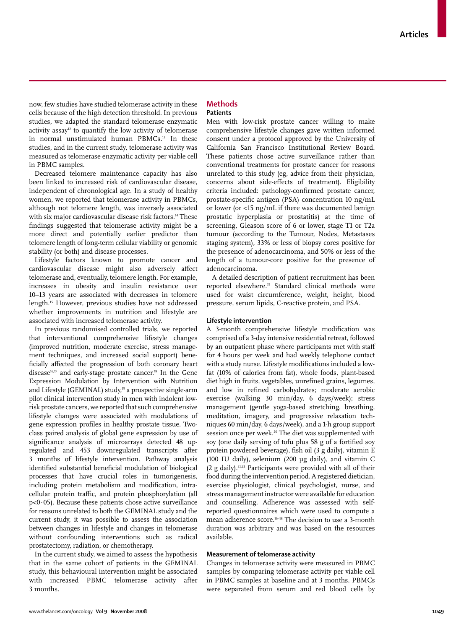now, few studies have studied telomerase activity in these cells because of the high detection threshold. In previous studies, we adapted the standard telomerase enzymatic activity assay<sup>12</sup> to quantify the low activity of telomerase in normal unstimulated human PBMCs.<sup>13</sup> In these studies, and in the current study, telomerase activity was measured as telomerase enzymatic activity per viable cell in PBMC samples.

Decreased telomere maintenance capacity has also been linked to increased risk of cardiovascular disease, independent of chronological age. In a study of healthy women, we reported that telomerase activity in PBMCs, although not telomere length, was inversely associated with six major cardiovascular disease risk factors.<sup>14</sup> These findings suggested that telomerase activity might be a more direct and potentially earlier predictor than telomere length of long-term cellular viability or genomic stability (or both) and disease processes.

Lifestyle factors known to promote cancer and cardiovascular disease might also adversely affect telomerase and, eventually, telomere length. For example, increases in obesity and insulin resistance over 10–13 years are associated with decreases in telomere length.15 However, previous studies have not addressed whether improvements in nutrition and lifestyle are associated with increased telomerase activity.

In previous randomised controlled trials, we reported that interventional comprehensive lifestyle changes (improved nutrition, moderate exercise, stress management techniques, and increased social support) beneficially affected the progression of both coronary heart disease $16,17$  and early-stage prostate cancer.<sup>18</sup> In the Gene Expression Modulation by Intervention with Nutrition and Lifestyle (GEMINAL) study,<sup>19</sup> a prospective single-arm pilot clinical intervention study in men with indolent lowrisk prostate cancers, we reported that such comprehensive lifestyle changes were associated with modulations of gene expression profiles in healthy prostate tissue. Twoclass paired analysis of global gene expression by use of significance analysis of microarrays detected 48 upregulated and 453 downregulated transcripts after 3 months of lifestyle intervention. Pathway analysis identified substantial beneficial modulation of biological processes that have crucial roles in tumorigenesis, including protein metabolism and modification, intracellular protein traffic, and protein phosphorylation (all  $p<0.05$ ). Because these patients chose active surveillance for reasons unrelated to both the GEMINAL study and the current study, it was possible to assess the association between changes in lifestyle and changes in telomerase without confounding interventions such as radical prostatectomy, radiation, or chemotherapy.

In the current study, we aimed to assess the hypothesis that in the same cohort of patients in the GEMINAL study, this behavioural intervention might be associated with increased PBMC telomerase activity after 3 months.

# **Methods Patients**

Men with low-risk prostate cancer willing to make comprehensive lifestyle changes gave written informed consent under a protocol approved by the University of California San Francisco Institutional Review Board. These patients chose active surveillance rather than conventional treatments for prostate cancer for reasons unrelated to this study (eg, advice from their physician, concerns about side-effects of treatment). Eligibility criteria included: pathology-confirmed prostate cancer, prostate-specific antigen (PSA) concentration  $10 \text{ ng/mL}$ or lower (or <15 ng/mL if there was documented benign prostatic hyperplasia or prostatitis) at the time of screening, Gleason score of 6 or lower, stage T1 or T2a tumour (according to the Tumour, Nodes, Metastases staging system), 33% or less of biopsy cores positive for the presence of adenocarcinoma, and 50% or less of the length of a tumour-core positive for the presence of adenocarcinoma.

A detailed description of patient recruitment has been reported elsewhere.19 Standard clinical methods were used for waist circumference, weight, height, blood pressure, serum lipids, C-reactive protein, and PSA.

# **Lifestyle intervention**

A 3-month comprehensive lifestyle modification was comprised of a 3-day intensive residential retreat, followed by an outpatient phase where participants met with staff for 4 hours per week and had weekly telephone contact with a study nurse. Lifestyle modifications included a lowfat (10% of calories from fat), whole foods, plant-based diet high in fruits, vegetables, unrefined grains, legumes, and low in refined carbohydrates; moderate aerobic exercise (walking 30 min/day, 6 days/week); stress manage ment (gentle yoga-based stretching, breathing, meditation, imagery, and progressive relaxation techniques 60 min/day, 6 days/week), and a 1-h group support session once per week.<sup>20</sup> The diet was supplemented with soy (one daily serving of tofu plus 58 g of a fortified soy protein powdered beverage), fish oil (3 g daily), vitamin E (100 IU daily), selenium (200 μg daily), and vitamin C (2 g daily).<sup>21,22</sup> Participants were provided with all of their food during the intervention period. A registered dietician, exercise physiologist, clinical psychologist, nurse, and stress management instructor were available for education and counselling. Adherence was assessed with selfreported questionnaires which were used to compute a mean adherence score.<sup>16–18</sup> The decision to use a 3-month duration was arbitrary and was based on the resources available.

#### **Measurement of telomerase activity**

Changes in telomerase activity were measured in PBMC samples by comparing telomerase activity per viable cell in PBMC samples at baseline and at 3 months. PBMCs were separated from serum and red blood cells by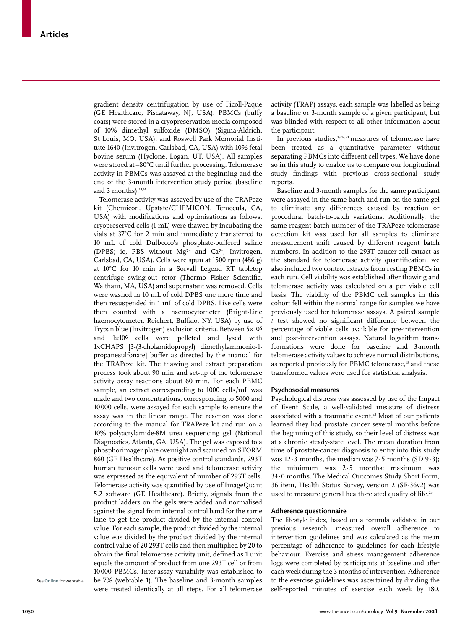gradient density centrifugation by use of Ficoll-Paque (GE Healthcare, Piscataway, NJ, USA). PBMCs (buffy coats) were stored in a cryopreservation media composed of 10% dimethyl sulfoxide (DMSO) (Sigma-Aldrich, St Louis, MO, USA), and Roswell Park Memorial Institute 1640 (Invitrogen, Carlsbad, CA, USA) with 10% fetal bovine serum (Hyclone, Logan, UT, USA). All samples were stored at –80°C until further processing. Telomerase activity in PBMCs was assayed at the beginning and the end of the 3-month intervention study period (baseline and 3 months). $13,14$ 

Telomerase activity was assayed by use of the TRAPeze kit (Chemicon, Upstate/CHEMICON, Temecula, CA, USA) with modifications and optimisations as follows: cryopreserved cells (1 mL) were thawed by incubating the vials at 37°C for 2 min and immediately transferred to 10 mL of cold Dulbecco's phosphate-buffered saline (DPBS; ie, PBS without  $Mg^{2+}$  and Ca<sup>2+</sup>; Invitrogen, Carlsbad, CA, USA). Cells were spun at 1500 rpm (486 g) at 10°C for 10 min in a Sorvall Legend RT tabletop centrifuge swing-out rotor (Thermo Fisher Scientific, Waltham, MA, USA) and supernatant was removed. Cells were washed in 10 mL of cold DPBS one more time and then resuspended in 1 mL of cold DPBS. Live cells were then counted with a haemocytometer (Bright-Line haemocytometer, Reichert, Buffalo, NY, USA) by use of Trypan blue (Invitrogen) exclusion criteria. Between 5×10<sup>5</sup> and 1×10<sup>6</sup> cells were pelleted and lysed with 1×CHAPS [3-(3-cholamidopropyl) dimethylammonio-1 propanesulfonate] buffer as directed by the manual for the TRAPeze kit. The thawing and extract preparation process took about 90 min and set-up of the telomerase activity assay reactions about 60 min. For each PBMC sample, an extract corresponding to 1000 cells/mL was made and two concentrations, corresponding to 5000 and 10 000 cells, were assayed for each sample to ensure the assay was in the linear range. The reaction was done according to the manual for TRAPeze kit and run on a 10% polyacrylamide-8M urea sequencing gel (National Diagnostics, Atlanta, GA, USA). The gel was exposed to a phosphorimager plate overnight and scanned on STORM 860 (GE Healthcare). As positive control standards, 293T human tumour cells were used and telomerase activity was expressed as the equivalent of number of 293T cells. Telomerase activity was quantified by use of ImageQuant 5.2 software (GE Healthcare). Briefly, signals from the product ladders on the gels were added and normalised against the signal from internal control band for the same lane to get the product divided by the internal control value. For each sample, the product divided by the internal value was divided by the product divided by the internal control value of 20 293T cells and then multiplied by 20 to obtain the final telomerase activity unit, defined as 1 unit equals the amount of product from one 293T cell or from 10 000 PBMCs. Inter-assay variability was established to be 7% (webtable 1). The baseline and 3-month samples were treated identically at all steps. For all telomerase

See **Online** for webtable 1

activity (TRAP) assays, each sample was labelled as being a baseline or 3-month sample of a given participant, but was blinded with respect to all other information about the participant.

In previous studies,<sup>13,14,23</sup> measures of telomerase have been treated as a quantitative parameter without separating PBMCs into different cell types. We have done so in this study to enable us to compare our longitudinal study findings with previous cross-sectional study reports.

Baseline and 3-month samples for the same participant were assayed in the same batch and run on the same gel to eliminate any differences caused by reaction or procedural batch-to-batch variations. Additionally, the same reagent batch number of the TRAPeze telomerase detection kit was used for all samples to eliminate measurement shift caused by different reagent batch numbers. In addition to the 293T cancer-cell extract as the standard for telomerase activity quantification, we also included two control extracts from resting PBMCs in each run. Cell viability was established after thawing and telomerase activity was calculated on a per viable cell basis. The viability of the PBMC cell samples in this cohort fell within the normal range for samples we have previously used for telomerase assays. A paired sample *t* test showed no significant difference between the percentage of viable cells available for pre-intervention and post-intervention assays. Natural logarithm transformations were done for baseline and 3-month telomerase activity values to achieve normal distributions, as reported previously for PBMC telomerase,<sup>13</sup> and these trans formed values were used for statistical analysis.

# **Psychosocial measures**

Psychological distress was assessed by use of the Impact of Event Scale, a well-validated measure of distress associated with a traumatic event.<sup>24</sup> Most of our patients learned they had prostate cancer several months before the beginning of this study, so their level of distress was at a chronic steady-state level. The mean duration from time of prostate-cancer diagnosis to entry into this study was 12·3 months, the median was 7·5 months (SD 9·3); the minimum was 2·5 months; maximum was 34·0 months. The Medical Outcomes Study Short Form, 36 item, Health Status Survey, version 2 (SF-36v2) was used to measure general health-related quality of life.<sup>25</sup>

# **Adherence questionnaire**

The lifestyle index, based on a formula validated in our previous research, measured overall adherence to intervention guidelines and was calculated as the mean percentage of adherence to guidelines for each lifestyle behaviour. Exercise and stress management adherence logs were completed by participants at baseline and after each week during the 3 months of intervention. Adherence to the exercise guidelines was ascertained by dividing the self-reported minutes of exercise each week by 180.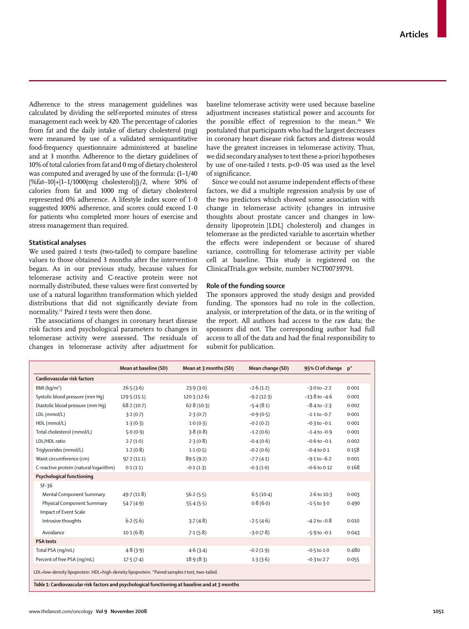Adherence to the stress management guidelines was calculated by dividing the self-reported minutes of stress management each week by 420. The percentage of calories from fat and the daily intake of dietary cholesterol (mg) were measured by use of a validated semiquantitative food-frequency questionnaire administered at baseline and at 3 months. Adherence to the dietary guidelines of 10% of total calories from fat and 0 mg of dietary cholesterol was computed and averaged by use of the formula: (1–1/40 [%fat-10]+[1-1/1000(mg cholesterol)])/2, where 50% of calories from fat and 1000 mg of dietary cholesterol represented 0% adherence. A lifestyle index score of 1·0 suggested 100% adherence, and scores could exceed 1·0 for patients who completed more hours of exercise and stress management than required.

# **Statistical analyses**

We used paired *t* tests (two-tailed) to compare baseline values to those obtained 3 months after the intervention began. As in our previous study, because values for telomerase activity and C-reactive protein were not normally distributed, these values were first converted by use of a natural logarithm transformation which yielded distributions that did not significantly deviate from normality.13 Paired *t* tests were then done.

The associations of changes in coronary heart disease risk factors and psychological parameters to changes in telomerase activity were assessed. The residuals of changes in telomerase activity after adjustment for baseline telomerase activity were used because baseline adjustment increases statistical power and accounts for the possible effect of regression to the mean.<sup>26</sup> We postulated that participants who had the largest decreases in coronary heart disease risk factors and distress would have the greatest increases in telomerase activity. Thus, we did secondary analyses to test these a-priori hypotheses by use of one-tailed *t* tests. p<0·05 was used as the level of significance.

Since we could not assume independent effects of these factors, we did a multiple regression analysis by use of the two predictors which showed some association with change in telomerase activity (changes in intrusive thoughts about prostate cancer and changes in lowdensity lipoprotein [LDL] cholesterol) and changes in telomerase as the predicted variable to ascertain whether the effects were independent or because of shared variance, controlling for telomerase activity per viable cell at baseline. This study is registered on the ClinicalTrials.gov website, number NCT00739791.

## **Role of the funding source**

The sponsors approved the study design and provided funding. The sponsors had no role in the collection, analysis, or interpretation of the data, or in the writing of the report. All authors had access to the raw data; the sponsors did not. The corresponding author had full access to all of the data and had the final responsibility to submit for publication.

|                                                                                                                                                                                                  | Mean at baseline (SD) | Mean at 3 months (SD) | Mean change (SD) | 95% Cl of change p* |       |  |  |  |  |  |
|--------------------------------------------------------------------------------------------------------------------------------------------------------------------------------------------------|-----------------------|-----------------------|------------------|---------------------|-------|--|--|--|--|--|
| Cardiovascular risk factors                                                                                                                                                                      |                       |                       |                  |                     |       |  |  |  |  |  |
| $BMl$ (kg/m <sup>2</sup> )                                                                                                                                                                       | 26.5(3.6)             | 23.9(3.0)             | $-2.6(1.2)$      | $-3.0$ to $-2.2$    | 0.001 |  |  |  |  |  |
| Systolic blood pressure (mm Hq)                                                                                                                                                                  | 129.5(15.1)           | 120.3(12.6)           | $-9.2(12.3)$     | $-13.8$ to $-4.6$   | 0.001 |  |  |  |  |  |
| Diastolic blood pressure (mm Hq)                                                                                                                                                                 | 68.2(10.7)            | 62.8(10.3)            | $-5.4(8.1)$      | $-8.4$ to $-2.3$    | 0.002 |  |  |  |  |  |
| LDL (mmol/L)                                                                                                                                                                                     | 3.2(0.7)              | 2.3(0.7)              | $-0.9(0.5)$      | $-1.1$ to $-0.7$    | 0.001 |  |  |  |  |  |
| HDL (mmol/L)                                                                                                                                                                                     | 1.3(0.3)              | 1.0(0.3)              | $-0.2(0.2)$      | $-0.3$ to $-0.1$    | 0.001 |  |  |  |  |  |
| Total cholesterol (mmol/L)                                                                                                                                                                       | 5.0(0.9)              | 3.8(0.8)              | $-1.2(0.6)$      | $-1.4$ to $-0.9$    | 0.001 |  |  |  |  |  |
| LDL/HDL ratio                                                                                                                                                                                    | 2.7(1.0)              | 2.3(0.8)              | $-0.4(0.6)$      | $-0.6$ to $-0.1$    | 0.002 |  |  |  |  |  |
| Triglycerides (mmol/L)                                                                                                                                                                           | 1.2(0.8)              | 1.1(0.5)              | $-0.2(0.6)$      | $-0.4$ to $0.1$     | 0.158 |  |  |  |  |  |
| Waist circumference (cm)                                                                                                                                                                         | 97.2(11.1)            | 89.5(9.2)             | $-7.7(4.1)$      | $-9.1$ to $-6.2$    | 0.001 |  |  |  |  |  |
| C-reactive protein (natural logarithm)                                                                                                                                                           | 0.1(1.1)              | $-0.1(1.3)$           | $-0.3(1.0)$      | $-0.6$ to $0.12$    | 0.168 |  |  |  |  |  |
| Psychological functioning                                                                                                                                                                        |                       |                       |                  |                     |       |  |  |  |  |  |
| $SF-36$                                                                                                                                                                                          |                       |                       |                  |                     |       |  |  |  |  |  |
| Mental Component Summary                                                                                                                                                                         | 49.7(11.8)            | 56.2(5.5)             | 6.5(10.4)        | $2.6$ to $10.3$     | 0.003 |  |  |  |  |  |
| Physical Component Summary                                                                                                                                                                       | 54.7(4.9)             | 55.4(5.5)             | 0.8(6.0)         | $-1.5$ to 3.0       | 0.490 |  |  |  |  |  |
| Impact of Event Scale                                                                                                                                                                            |                       |                       |                  |                     |       |  |  |  |  |  |
| Intrusive thoughts                                                                                                                                                                               | 6.2(5.6)              | 3.7(4.8)              | $-2.5(4.6)$      | $-4.2$ to $-0.8$    | 0.010 |  |  |  |  |  |
| Avoidance                                                                                                                                                                                        | 10.1(6.8)             | 7.1(5.8)              | $-3.0(7.8)$      | $-5.9$ to $-0.1$    | 0.043 |  |  |  |  |  |
| <b>PSA tests</b>                                                                                                                                                                                 |                       |                       |                  |                     |       |  |  |  |  |  |
| Total PSA (ng/mL)                                                                                                                                                                                | 4.8(3.9)              | 4.6(3.4)              | $-0.2(1.9)$      | $-0.5$ to $1.0$     | 0.480 |  |  |  |  |  |
| Percent of free PSA (ng/mL)                                                                                                                                                                      | 17.5(7.4)             | 18.9(8.3)             | 1.3(3.6)         | $-0.3$ to 2.7       | 0.055 |  |  |  |  |  |
| LDL=low-density lipoprotein. HDL=high-density lipoprotein. *Paired samples t test, two-tailed.<br>Table 1: Cardiovascular risk factors and psychological functioning at baseline and at 3 months |                       |                       |                  |                     |       |  |  |  |  |  |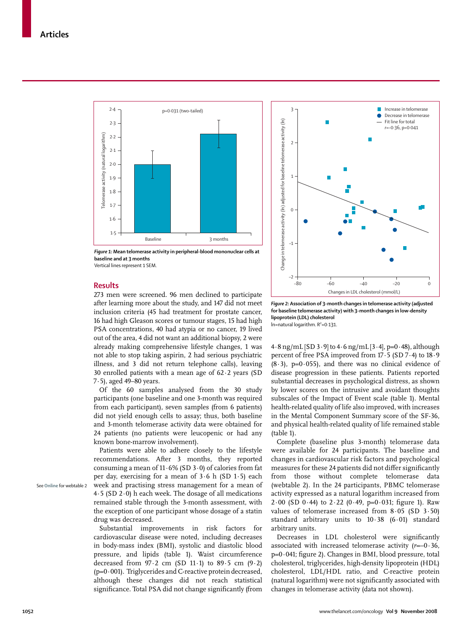

*Figure 1:* **Mean telomerase activity in peripheral-blood mononuclear cells at baseline and at 3 months**  Vertical lines represent 1 SEM.



# **Results**

273 men were screened. 96 men declined to participate after learning more about the study, and 147 did not meet inclusion criteria (45 had treatment for prostate cancer, 16 had high Gleason scores or tumour stages, 15 had high PSA concentrations, 40 had atypia or no cancer, 19 lived out of the area, 4 did not want an additional biopsy, 2 were already making comprehensive lifestyle changes, 1 was not able to stop taking aspirin, 2 had serious psychiatric illness, and 3 did not return telephone calls), leaving 30 enrolled patients with a mean age of  $62.2$  years (SD 7·5), aged 49–80 years.

Of the 60 samples analysed from the 30 study participants (one baseline and one 3-month was required from each participant), seven samples (from 6 patients) did not yield enough cells to assay; thus, both baseline and 3-month telomerase activity data were obtained for 24 patients (no patients were leucopenic or had any known bone-marrow involvement).

Patients were able to adhere closely to the lifestyle recommendations. After 3 months, they reported consuming a mean of  $11.6\%$  (SD  $3.0$ ) of calories from fat per day, exercising for a mean of 3·6 h (SD 1·5) each week and practising stress management for a mean of 4·5 (SD 2·0) h each week. The dosage of all medications remained stable through the 3-month assessment, with the exception of one participant whose dosage of a statin drug was decreased.

Substantial improvements in risk factors for cardiovascular disease were noted, including decreases in body-mass index (BMI), systolic and diastolic blood pressure, and lipids (table 1). Waist circumference decreased from  $97.2$  cm (SD 11.1) to  $89.5$  cm  $(9.2)$  $(p=0.001)$ . Triglycerides and C-reactive protein decreased, although these changes did not reach statistical significance. Total PSA did not change significantly (from

*Figure 2:* **Association of 3-month changes in telomerase activity (adjusted for baseline telomerase activity) with 3-month changes in low-density lipoprotein (LDL) cholesterol** ln=natural logarithm. R²=0·131.

4.8 ng/mL [SD 3.9] to  $4.6$  ng/mL [3.4], p=0.48), although percent of free PSA improved from 17·5 (SD 7·4) to 18·9  $(8.3)$ ,  $p=0.055$ ), and there was no clinical evidence of disease progression in these patients. Patients reported substantial decreases in psychological distress, as shown by lower scores on the intrusive and avoidant thoughts subscales of the Impact of Event scale (table 1). Mental health-related quality of life also improved, with increases in the Mental Component Summary score of the SF-36, and physical health-related quality of life remained stable (table 1).

Complete (baseline plus 3-month) telomerase data were available for 24 participants. The baseline and changes in cardiovascular risk factors and psychological measures for these 24 patients did not differ significantly from those without complete telomerase data (webtable 2). In the 24 participants, PBMC telomerase activity expressed as a natural logarithm increased from  $2.00$  (SD 0.44) to  $2.22$  (0.49, p=0.031; figure 1). Raw values of telomerase increased from 8·05 (SD 3·50) standard arbitrary units to 10·38 (6·01) standard arbitrary units.

Decreases in LDL cholesterol were significantly associated with increased telomerase activity (*r*=–0·36, p=0·041; figure 2). Changes in BMI, blood pressure, total cholesterol, triglycerides, high-density lipoprotein (HDL) cholesterol, LDL/HDL ratio, and C-reactive protein (natural logarithm) were not significantly associated with changes in telomerase activity (data not shown).

See **Online** for webtable 2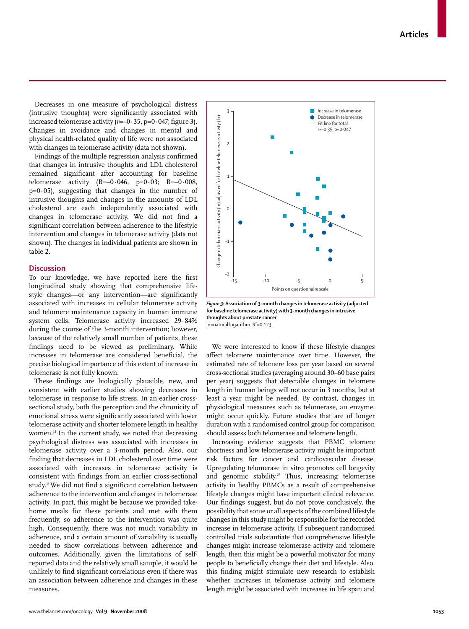Decreases in one measure of psychological distress (intrusive thoughts) were significantly associated with increased telomerase activity  $(r=-0.35, p=0.047;$  figure 3). Changes in avoidance and changes in mental and physical health-related quality of life were not associated with changes in telomerase activity (data not shown).

Findings of the multiple regression analysis confirmed that changes in intrusive thoughts and LDL cholesterol remained significant after accounting for baseline telomerase activity  $(B=-0.046, p=0.03; B=-0.008,$  $p=0.05$ ), suggesting that changes in the number of intrusive thoughts and changes in the amounts of LDL cholesterol are each independently associated with changes in telomerase activity. We did not find a significant correlation between adherence to the lifestyle intervention and changes in telomerase activity (data not shown). The changes in individual patients are shown in table 2.

# **Discussion**

To our knowledge, we have reported here the first longitudinal study showing that comprehensive lifestyle changes—or any intervention—are significantly associated with increases in cellular telomerase activity and telomere maintenance capacity in human immune system cells. Telomerase activity increased 29·84% during the course of the 3-month intervention; however, because of the relatively small number of patients, these findings need to be viewed as preliminary. While increases in telomerase are considered beneficial, the precise biological importance of this extent of increase in telomerase is not fully known.

These findings are biologically plausible, new, and consistent with earlier studies showing decreases in telomerase in response to life stress. In an earlier crosssectional study, both the perception and the chronicity of emotional stress were significantly associated with lower telomerase activity and shorter telomere length in healthy women.13 In the current study, we noted that decreasing psychological distress was associated with increases in telomerase activity over a 3-month period. Also, our finding that decreases in LDL cholesterol over time were associated with increases in telomerase activity is consistent with findings from an earlier cross-sectional study.<sup>14</sup> We did not find a significant correlation between adherence to the intervention and changes in telomerase activity. In part, this might be because we provided takehome meals for these patients and met with them frequently, so adherence to the intervention was quite high. Consequently, there was not much variability in adherence, and a certain amount of variability is usually needed to show correlations between adherence and outcomes. Additionally, given the limitations of selfreported data and the relatively small sample, it would be unlikely to find significant correlations even if there was an association between adherence and changes in these measures.



*Figure 3:* **Association of 3-month changes in telomerase activity (adjusted for baseline telomerase activity) with 3-month changes in intrusive thoughts about prostate cancer** ln=natural logarithm. R²=0·123.

We were interested to know if these lifestyle changes affect telomere maintenance over time. However, the estimated rate of telomere loss per year based on several cross-sectional studies (averaging around 30–60 base pairs per year) suggests that detectable changes in telomere length in human beings will not occur in 3 months, but at least a year might be needed. By contrast, changes in physiological measures such as telomerase, an enzyme, might occur quickly. Future studies that are of longer duration with a randomised control group for comparison should assess both telomerase and telomere length.

Increasing evidence suggests that PBMC telomere shortness and low telomerase activity might be important risk factors for cancer and cardiovascular disease. Upregulating telomerase in vitro promotes cell longevity and genomic stability.<sup>27</sup> Thus, increasing telomerase activity in healthy PBMCs as a result of comprehensive lifestyle changes might have important clinical relevance. Our findings suggest, but do not prove conclusively, the possibility that some or all aspects of the combined lifestyle changes in this study might be responsible for the recorded increase in telomerase activity. If subsequent randomised controlled trials substantiate that comprehensive lifestyle changes might increase telomerase activity and telomere length, then this might be a powerful motivator for many people to beneficially change their diet and lifestyle. Also, this finding might stimulate new research to establish whether increases in telomerase activity and telomere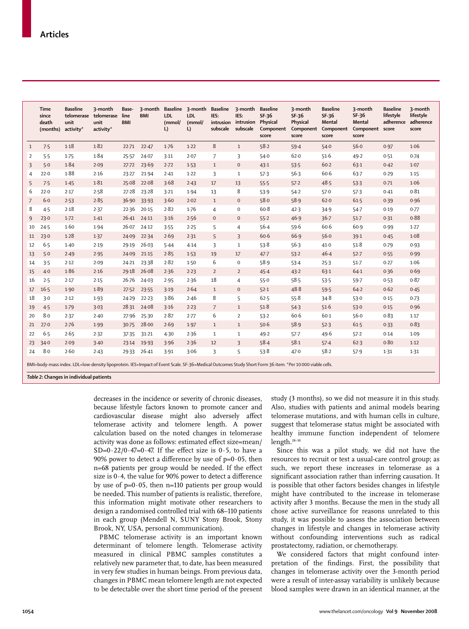|                | <b>Time</b><br>since<br>death<br>(months)                                                                                                               | <b>Baseline</b><br>unit<br>activity* | 3-month<br>telomerase telomerase<br>unit<br>activity* | Base-<br>line<br><b>BMI</b> | 3-month<br><b>BMI</b> | <b>LDL</b><br>(mmol/<br>L) | Baseline 3-month<br><b>LDL</b><br>(mmol/<br>L) | <b>Baseline</b><br>IES:<br>subscale | 3-month<br>IES:<br>intrusion intrusion<br>subscale | <b>Baseline</b><br>$SF-36$<br>Physical<br>Component<br>score | 3-month<br>$SF-36$<br>Physical<br>Component<br>score | <b>Baseline</b><br>$SF-36$<br>Mental<br>Component<br>score | 3-month<br>$SF-36$<br>Mental<br>Component<br>score | <b>Baseline</b><br>lifestyle<br>adherence<br>score | 3-month<br>lifestyle<br>adherence<br>score |
|----------------|---------------------------------------------------------------------------------------------------------------------------------------------------------|--------------------------------------|-------------------------------------------------------|-----------------------------|-----------------------|----------------------------|------------------------------------------------|-------------------------------------|----------------------------------------------------|--------------------------------------------------------------|------------------------------------------------------|------------------------------------------------------------|----------------------------------------------------|----------------------------------------------------|--------------------------------------------|
| $\mathbf{1}$   | 7.5                                                                                                                                                     | 1.18                                 | 1.82                                                  | 22.71                       | 22.47                 | 1.76                       | 1.22                                           | 8                                   | $\mathbf{1}$                                       | 58.2                                                         | $59-4$                                               | 54.0                                                       | 56.0                                               | 0.97                                               | 1.06                                       |
| 2              | 5.5                                                                                                                                                     | 1.75                                 | 1.84                                                  | 25.57                       | 24.07                 | 3.11                       | 2.07                                           | $\overline{7}$                      | 3                                                  | 54.0                                                         | 62.0                                                 | 51.6                                                       | 49.2                                               | 0.51                                               | 0.74                                       |
| 3              | 5.0                                                                                                                                                     | 1.84                                 | 2.09                                                  | 27.72                       | 23.69                 | 2.72                       | 1.53                                           | $\mathbf{1}$                        | $\mathbf 0$                                        | 43.1                                                         | 53.5                                                 | $60-2$                                                     | 63.1                                               | 0.42                                               | 1.07                                       |
| $\overline{4}$ | 22.0                                                                                                                                                    | 1.88                                 | 2.16                                                  | 23.27                       | 21.94                 | 2.41                       | $1-22$                                         | 3                                   | $\mathbf{1}$                                       | 57.3                                                         | $56-3$                                               | $60 - 6$                                                   | 63.7                                               | 0.29                                               | 1.15                                       |
| 5              | 7.5                                                                                                                                                     | 1.45                                 | 1.81                                                  | 25.08                       | 22.08                 | 3.68                       | 2.43                                           | 17                                  | 13                                                 | 55.5                                                         | 57.2                                                 | 48.5                                                       | 53.3                                               | 0.71                                               | 1.06                                       |
| 6              | 22.0                                                                                                                                                    | 2.17                                 | 2.58                                                  | 27.28                       | 23.28                 | 3.21                       | 1.94                                           | 13                                  | 8                                                  | 53.9                                                         | 54.2                                                 | 57.0                                                       | 57.3                                               | 0.41                                               | 0.81                                       |
| $\overline{7}$ | $6 - 0$                                                                                                                                                 | 2.53                                 | 2.85                                                  | 36.90                       | 33.93                 | 3.60                       | 2.02                                           | $\mathbf{1}$                        | $\mathbf{0}$                                       | 58.0                                                         | 58.9                                                 | 62.0                                                       | 61.5                                               | 0.39                                               | 0.96                                       |
| 8              | 4.5                                                                                                                                                     | 2.18                                 | 2.37                                                  | 22.36                       | 20.15                 | 2.82                       | 1.76                                           | 4                                   | $\mathbf 0$                                        | $60-8$                                                       | 42.3                                                 | 34.9                                                       | $54 - 7$                                           | 0.19                                               | 0.77                                       |
| 9              | 23.0                                                                                                                                                    | 1.72                                 | 1.41                                                  | 26.41                       | 24.11                 | 3.16                       | 2.56                                           | $\mathbf{0}$                        | $\mathbf{0}$                                       | $55 - 2$                                                     | 46.9                                                 | $36 - 7$                                                   | $51 - 7$                                           | 0.31                                               | 0.88                                       |
| 10             | 24.5                                                                                                                                                    | 1.60                                 | 1.94                                                  | 26.07                       | 24.12                 | 3.55                       | 2.25                                           | 5                                   | $\overline{4}$                                     | $56-4$                                                       | 59.6                                                 | $60 - 6$                                                   | 60.9                                               | 0.99                                               | 1.27                                       |
| 11             | 23.0                                                                                                                                                    | 1.28                                 | 1.37                                                  | 24.09                       | 22.34                 | 2.69                       | 2.31                                           | 5                                   | $\overline{3}$                                     | $60 - 6$                                                     | 66.9                                                 | 56.0                                                       | 39.1                                               | 0.45                                               | 1.08                                       |
| 12             | 6.5                                                                                                                                                     | 1.40                                 | 2.19                                                  | 29.19                       | 26.03                 | 5.44                       | 4.14                                           | 3                                   | 1                                                  | 53.8                                                         | 56.3                                                 | 41.0                                                       | 51.8                                               | 0.79                                               | 0.93                                       |
| 13             | 5.0                                                                                                                                                     | 2.49                                 | 2.95                                                  | 24.09                       | 21.15                 | 2.85                       | 1.53                                           | 19                                  | 17                                                 | 47.7                                                         | 53.2                                                 | 46.4                                                       | $52 - 7$                                           | 0.55                                               | 0.99                                       |
| 14             | 3.5                                                                                                                                                     | 2.12                                 | 2.09                                                  | 24.21                       | 23.38                 | 2.82                       | 1.50                                           | 6                                   | $\mathsf{O}\xspace$                                | 58.9                                                         | $53 - 4$                                             | 25.3                                                       | 51.7                                               | 0.27                                               | 1.06                                       |
| 15             | $4-0$                                                                                                                                                   | 1.86                                 | 2.16                                                  | 29.18                       | 26.08                 | 2.36                       | 2.23                                           | $\overline{2}$                      | $\overline{2}$                                     | 45.4                                                         | 43.2                                                 | 63.1                                                       | $64-1$                                             | 0.36                                               | 0.69                                       |
| 16             | 2.5                                                                                                                                                     | 2.17                                 | 2.15                                                  | 26.76                       | 24.03                 | 2.95                       | 2.36                                           | 18                                  | $\overline{4}$                                     | 55.0                                                         | 58.5                                                 | 53.5                                                       | 59.7                                               | 0.53                                               | 0.87                                       |
| 17             | 16.5                                                                                                                                                    | 1.90                                 | 1.89                                                  | 27.52                       | 23.55                 | 3.19                       | 2.64                                           | $\mathbf{1}$                        | $\mathbf 0$                                        | $52-1$                                                       | 48.8                                                 | 59.5                                                       | 64.2                                               | 0.62                                               | 0.45                                       |
| 18             | 3.0                                                                                                                                                     | 2.12                                 | 1.93                                                  | 24.29                       | 22.23                 | 3.86                       | 2.46                                           | 8                                   | 5                                                  | 62.5                                                         | $55 - 8$                                             | $34 - 8$                                                   | 53.0                                               | 0.15                                               | 0.73                                       |
| 19             | 4.5                                                                                                                                                     | 1.79                                 | 3.03                                                  | 28.31                       | 24.08                 | 3.16                       | 2.23                                           | $\overline{7}$                      | $\mathbf{1}$                                       | 51.8                                                         | 54.3                                                 | 51.6                                                       | 53.0                                               | 0.15                                               | 0.96                                       |
| 20             | $8 - 0$                                                                                                                                                 | 2.37                                 | 2.40                                                  | 27.96                       | 25.30                 | 2.87                       | 2.77                                           | 6                                   | 2                                                  | 53.2                                                         | 60.6                                                 | $60-1$                                                     | 56.0                                               | 0.83                                               | 1.17                                       |
| 21             | 27.0                                                                                                                                                    | 2.76                                 | 1.99                                                  | 30.75                       | 28.00                 | 2.69                       | 1.97                                           | $\mathbf{1}$                        | $\mathbf{1}$                                       | $50-6$                                                       | 58.9                                                 | 52.3                                                       | 61.5                                               | 0.33                                               | 0.83                                       |
| 22             | 6.5                                                                                                                                                     | 2.65                                 | 2.32                                                  | 37.35                       | 31.21                 | 4.30                       | 2.36                                           | $\mathbf{1}$                        | $\mathbf{1}$                                       | 49.2                                                         | $57 - 7$                                             | 49.6                                                       | 57.2                                               | 0.14                                               | 1.09                                       |
| 23             | 34.0                                                                                                                                                    | 2.09                                 | 3.40                                                  | 23.14                       | 19.93                 | 3.96                       | 2.36                                           | 12                                  | $\overline{3}$                                     | $58-4$                                                       | 58.1                                                 | 57.4                                                       | 62.3                                               | 0.80                                               | 1.12                                       |
| 24             | 8.0                                                                                                                                                     | 2.60                                 | 2.43                                                  | 29.33                       | 26.41                 | 3.91                       | 3.06                                           | 3                                   | 5                                                  | 53.8                                                         | 47.0                                                 | 58.2                                                       | 57.9                                               | 1.31                                               | 1.31                                       |
|                | BMI=body-mass index. LDL=low-density lipoprotein. IES=Impact of Event Scale. SF-36=Medical Outcomes Study Short Form 36 item. *Per 10 000 viable cells. |                                      |                                                       |                             |                       |                            |                                                |                                     |                                                    |                                                              |                                                      |                                                            |                                                    |                                                    |                                            |

*Table 2***: Changes in individual patients** 

decreases in the incidence or severity of chronic diseases, because lifestyle factors known to promote cancer and cardiovascular disease might also adversely affect telomerase activity and telomere length. A power calculation based on the noted changes in telomerase activity was done as follows: estimated effect size=mean/ SD= $0.22/0.47=0.47$ . If the effect size is  $0.5$ , to have a 90% power to detect a difference by use of  $p=0.05$ , then n=68 patients per group would be needed. If the effect size is  $0.4$ , the value for 90% power to detect a difference by use of  $p=0.05$ , then n=110 patients per group would be needed. This number of patients is realistic, therefore, this information might motivate other researchers to design a randomised controlled trial with 68–110 patients in each group (Mendell N, SUNY Stony Brook, Stony Brook, NY, USA, personal communication).

PBMC telomerase activity is an important known determinant of telomere length. Telomerase activity measured in clinical PBMC samples constitutes a relatively new parameter that, to date, has been measured in very few studies in human beings. From previous data, changes in PBMC mean telomere length are not expected to be detectable over the short time period of the present study (3 months), so we did not measure it in this study. Also, studies with patients and animal models bearing telomerase mutations, and with human cells in culture, suggest that telomerase status might be associated with healthy immune function independent of telomere length.28–30

Since this was a pilot study, we did not have the resources to recruit or test a usual-care control group; as such, we report these increases in telomerase as a significant association rather than inferring causation. It is possible that other factors besides changes in lifestyle might have contributed to the increase in telomerase activity after 3 months. Because the men in the study all chose active surveillance for reasons unrelated to this study, it was possible to assess the association between changes in lifestyle and changes in telomerase activity without confounding interventions such as radical prostatectomy, radiation, or chemotherapy.

We considered factors that might confound interpretation of the findings. First, the possibility that changes in telomerase activity over the 3-month period were a result of inter-assay variability is unlikely because blood samples were drawn in an identical manner, at the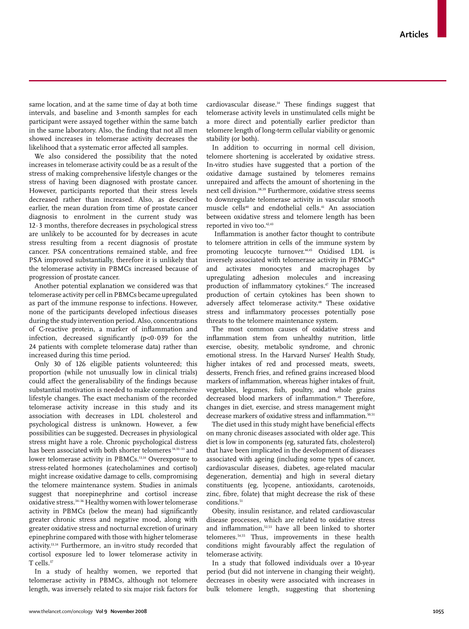same location, and at the same time of day at both time intervals, and baseline and 3-month samples for each participant were assayed together within the same batch in the same laboratory. Also, the finding that not all men showed increases in telomerase activity decreases the likelihood that a systematic error affected all samples.

We also considered the possibility that the noted increases in telomerase activity could be as a result of the stress of making comprehensive lifestyle changes or the stress of having been diagnosed with prostate cancer. However, participants reported that their stress levels decreased rather than increased. Also, as described earlier, the mean duration from time of prostate cancer diagnosis to enrolment in the current study was 12·3 months, therefore decreases in psychological stress are unlikely to be accounted for by decreases in acute stress resulting from a recent diagnosis of prostate cancer. PSA concentrations remained stable, and free PSA improved substantially, therefore it is unlikely that the telomerase activity in PBMCs increased because of progression of prostate cancer.

Another potential explanation we considered was that telomerase activity per cell in PBMCs became upregulated as part of the immune response to infections. However, none of the participants developed infectious diseases during the study intervention period. Also, concentrations of C-reactive protein, a marker of inflammation and infection, decreased significantly  $(p<0.039$  for the 24 patients with complete telomerase data) rather than increased during this time period.

Only 30 of 126 eligible patients volunteered; this proportion (while not unusually low in clinical trials) could affect the generalisability of the findings because substantial motivation is needed to make comprehensive lifestyle changes. The exact mechanism of the recorded telomerase activity increase in this study and its association with decreases in LDL cholesterol and psychological distress is unknown. However, a few possibilities can be suggested. Decreases in physiological stress might have a role. Chronic psychological distress has been associated with both shorter telomeres<sup>14,31-33</sup> and lower telomerase activity in PBMCs.13,14 Overexposure to stress-related hormones (catecholamines and cortisol) might increase oxidative damage to cells, compromising the telomere maintenance system. Studies in animals suggest that norepinephrine and cortisol increase oxidative stress.34–36 Healthy women with lower telomerase activity in PBMCs (below the mean) had significantly greater chronic stress and negative mood, along with greater oxidative stress and nocturnal excretion of urinary epinephrine compared with those with higher telomerase activity.13,14 Furthermore, an in-vitro study recorded that cortisol exposure led to lower telomerase activity in T cells.37

In a study of healthy women, we reported that telomerase activity in PBMCs, although not telomere length, was inversely related to six major risk factors for cardiovascular disease. $14$  These findings suggest that telomerase activity levels in unstimulated cells might be a more direct and potentially earlier predictor than telomere length of long-term cellular viability or genomic stability (or both).

In addition to occurring in normal cell division, telomere shortening is accelerated by oxidative stress. In-vitro studies have suggested that a portion of the oxidative damage sustained by telomeres remains unrepaired and affects the amount of shortening in the next cell division.<sup>38,39</sup> Furthermore, oxidative stress seems to downregulate telomerase activity in vascular smooth muscle cells<sup>40</sup> and endothelial cells.<sup>41</sup> An association between oxidative stress and telomere length has been reported in vivo too.42,43

Inflammation is another factor thought to contribute to telomere attrition in cells of the immune system by promoting leucocyte turnover.<sup>44,45</sup> Oxidised LDL is inversely associated with telomerase activity in PBMCs<sup>46</sup> and activates monocytes and macrophages by upregulating adhesion molecules and increasing production of inflammatory cytokines.<sup>47</sup> The increased production of certain cytokines has been shown to adversely affect telomerase activity.<sup>48</sup> These oxidative stress and inflammatory processes potentially pose threats to the telomere maintenance system.

The most common causes of oxidative stress and inflammation stem from unhealthy nutrition, little exercise, obesity, metabolic syndrome, and chronic emotional stress. In the Harvard Nurses' Health Study, higher intakes of red and processed meats, sweets, desserts, French fries, and refined grains increased blood markers of inflammation, whereas higher intakes of fruit, vegetables, legumes, fish, poultry, and whole grains decreased blood markers of inflammation.<sup>49</sup> Therefore, changes in diet, exercise, and stress management might decrease markers of oxidative stress and inflammation.<sup>50,51</sup>

The diet used in this study might have beneficial effects on many chronic diseases associated with older age. This diet is low in components (eg, saturated fats, cholesterol) that have been implicated in the development of diseases associated with ageing (including some types of cancer, cardiovascular diseases, diabetes, age-related macular degeneration, dementia) and high in several dietary constituents (eg, lycopene, antioxidants, carotenoids, zinc, fibre, folate) that might decrease the risk of these conditions.<sup>51</sup>

Obesity, insulin resistance, and related cardiovascular disease processes, which are related to oxidative stress and inflammation,<sup>52,53</sup> have all been linked to shorter telomeres.54,55 Thus, improvements in these health conditions might favourably affect the regulation of telomerase activity.

In a study that followed individuals over a 10-year period (but did not intervene in changing their weight), decreases in obesity were associated with increases in bulk telomere length, suggesting that shortening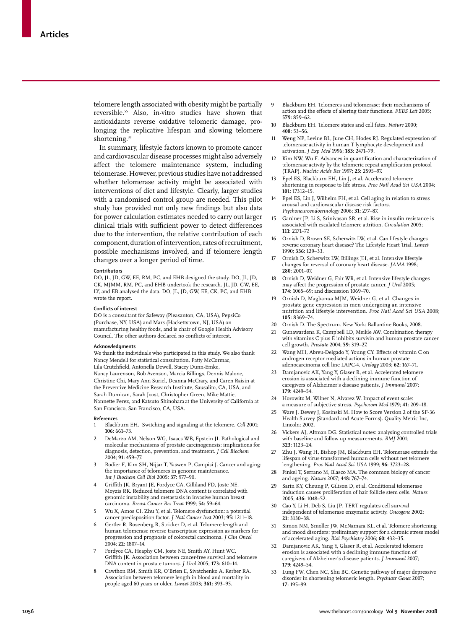telomere length associated with obesity might be partially reversible.55 Also, in-vitro studies have shown that antioxidants reverse oxidative telomeric damage, prolonging the replicative lifespan and slowing telomere shortening.<sup>39</sup>

In summary, lifestyle factors known to promote cancer and cardiovascular disease processes might also adversely affect the telomere maintenance system, including telomerase. However, previous studies have not addressed whether telomerase activity might be associated with interventions of diet and lifestyle. Clearly, larger studies with a randomised control group are needed. This pilot study has provided not only new findings but also data for power calculation estimates needed to carry out larger clinical trials with sufficient power to detect differences due to the intervention, the relative contribution of each component, duration of intervention, rates of recruitment, possible mechanisms involved, and if telomere length changes over a longer period of time.

#### **Contributors**

DO, JL, JD, GW, EE, RM, PC, and EHB designed the study. DO, JL, JD, CK, MJMM, RM, PC, and EHB undertook the research. JL, JD, GW, EE, LY, and EB analysed the data. DO, JL, JD, GW, EE, CK, PC, and EHB wrote the report.

#### **Conflicts of interest**

DO is a consultant for Safeway (Pleasanton, CA, USA), PepsiCo (Purchase, NY, USA) and Mars (Hackettstown, NJ, USA) on manufacturing healthy foods, and is chair of Google Health Advisory Council. The other authors declared no conflicts of interest.

#### **Acknowledgments**

We thank the individuals who participated in this study. We also thank Nancy Mendell for statistical consultation, Patty McCormac, Lila Crutchfield, Antonella Dewell, Stacey Dunn-Emke, Nancy Laurenson, Bob Avenson, Marcia Billings, Dennis Malone, Christine Chi, Mary Ann Suriel, Deanna McCrary, and Caren Raisin at the Preventive Medicine Research Institute, Sausalito, CA, USA, and Sarah Dumican, Sarah Joost, Christopher Green, Mike Mattie, Nannette Perez, and Katsuto Shinohara at the University of California at San Francisco, San Francisco, CA, USA.

#### **References**

- 1 Blackburn EH. Switching and signaling at the telomere. *Cell* 2001; **106:** 661–73.
- 2 DeMarzo AM, Nelson WG, Isaacs WB, Epstein JI. Pathological and molecular mechanisms of prostate carcinogenesis: implications for diagnosis, detection, prevention, and treatment. *J Cell Biochem* 2004; **91:** 459–77.
- Rodier F, Kim SH, Nijjar T, Yaswen P, Campisi J. Cancer and aging: the importance of telomeres in genome maintenance. *Int J Biochem Cell Biol* 2005; **37:** 977–90.
- Griffith JK, Bryant JE, Fordyce CA, Gilliland FD, Joste NE, Moyzis RK. Reduced telomere DNA content is correlated with genomic instability and metastasis in invasive human breast carcinoma. *Breast Cancer Res Treat* 1999; **54:** 59–64.
- 5 Wu X, Amos CI, Zhu Y, et al. Telomere dysfunction: a potential cancer predisposition factor. *J Natl Cancer Inst* 2003; **95:** 1211–18.
- 6 Gertler R, Rosenberg R, Stricker D, et al. Telomere length and human telomerase reverse transcriptase expression as markers for progression and prognosis of colorectal carcinoma. *J Clin Oncol* 2004; **22:** 1807–14.
- 7 Fordyce CA, Heaphy CM, Joste NE, Smith AY, Hunt WC, Griffith JK. Association between cancer-free survival and telomere DNA content in prostate tumors. *J Urol* 2005; **173:** 610–14.
- 8 Cawthon RM, Smith KR, O'Brien E, Sivatchenko A, Kerber RA. Association between telomere length in blood and mortality in people aged 60 years or older. *Lancet* 2003; **361:** 393–95.
- 9 Blackburn EH. Telomeres and telomerase: their mechanisms of action and the effects of altering their functions. *FEBS Lett* 2005; **579:** 859–62.
- 10 Blackburn EH. Telomere states and cell fates. *Nature* 2000; **408:** 53–56.
- 11 Weng NP, Levine BL, June CH, Hodes RJ. Regulated expression of telomerase activity in human T lymphocyte development and activation. *J Exp Med* 1996; **183:** 2471–79.
- Kim NW, Wu F. Advances in quantification and characterization of telomerase activity by the telomeric repeat amplification protocol (TRAP). *Nucleic Acids Res* 1997; **25:** 2595–97.
- 13 Epel ES, Blackburn EH, Lin J, et al. Accelerated telomere shortening in response to life stress. *Proc Natl Acad Sci USA* 2004; **101:** 17312–15.
- 14 Epel ES, Lin J, Wilhelm FH, et al. Cell aging in relation to stress arousal and cardiovascular disease risk factors. *Psychoneuroendocrinology* 2006; **31:** 277–87.
- 15 Gardner JP, Li S, Srinivasan SR, et al. Rise in insulin resistance is associated with escalated telomere attrition. *Circulation* 2005; **111:** 2171–77.
- 16 Ornish D, Brown SE, Scherwitz LW, et al. Can lifestyle changes reverse coronary heart disease? The Lifestyle Heart Trial. *Lancet* 1990; **336:** 129–33.
- 17 Ornish D, Scherwitz LW, Billings JH, et al. Intensive lifestyle changes for reversal of coronary heart disease. *JAMA* 1998; **280:** 2001–07.
- 18 Ornish D, Weidner G, Fair WR, et al. Intensive lifestyle changes may affect the progression of prostate cancer. *J Urol* 2005; **174:** 1065–69; and discussion 1069–70.
- 19 Ornish D, Magbanua MJM, Weidner G, et al. Changes in prostate gene expression in men undergoing an intensive nutrition and lifestyle intervention. *Proc Natl Acad Sci USA* 2008; **105:** 8369–74.
- 20 Ornish D. The Spectrum. New York: Ballantine Books, 2008.
- 21 Gunawardena K, Campbell LD, Meikle AW. Combination therapy with vitamins C plus E inhibits survivin and human prostate cancer cell growth. *Prostate* 2004; **59:** 319–27.
- Wang MH, Abreu-Delgado Y, Young CY. Effects of vitamin C on androgen receptor mediated actions in human prostate adenocarcinoma cell line LAPC-4. *Urology* 2003; **62:** 167–71.
- 23 Damjanovic AK, Yang Y, Glaser R, et al. Accelerated telomere erosion is associated with a declining immune function of caregivers of Alzheimer's disease patients. *J Immunol* 2007; **179:** 4249–54.
- Horowitz M, Wilner N, Alvarez W. Impact of event scale: a measure of subjective stress. *Psychosom Med* 1979; **41:** 209–18.
- 25 Ware J, Dewey J, Kosinski M. How to Score Version 2 of the SF-36 Health Survey (Standard and Acute Forms). Quality Metric Inc, Lincoln: 2002.
- 26 Vickers AJ, Altman DG. Statistical notes: analysing controlled trials with baseline and follow up measurements. *BMJ* 2001; **323:** 1123–24.
- 27 Zhu J, Wang H, Bishop JM, Blackburn EH. Telomerase extends the lifespan of virus-transformed human cells without net telomere lengthening. *Proc Natl Acad Sci USA* 1999; **96:** 3723–28.
- 28 Finkel T, Serrano M, Blasco MA. The common biology of cancer and ageing. *Nature* 2007; **448:** 767–74.
- 29 Sarin KY, Cheung P, Gilison D, et al. Conditional telomerase induction causes proliferation of hair follicle stem cells. *Nature* 2005; **436:** 1048–52.
- 30 Cao Y, Li H, Deb S, Liu JP. TERT regulates cell survival independent of telomerase enzymatic activity. *Oncogene* 2002; **21:** 3130–38.
- 31 Simon NM, Smoller JW, McNamara KL, et al. Telomere shortening and mood disorders: preliminary support for a chronic stress model of accelerated aging. *Biol Psychiatry* 2006; **60:** 432–35.
- 32 Damjanovic AK, Yang Y, Glaser R, et al. Accelerated telomere erosion is associated with a declining immune function of caregivers of Alzheimer's disease patients. *J Immunol* 2007; **179:** 4249–54.
- 33 Lung FW, Chen NC, Shu BC. Genetic pathway of major depressive disorder in shortening telomeric length. *Psychiatr Genet* 2007; **17:** 195–99.